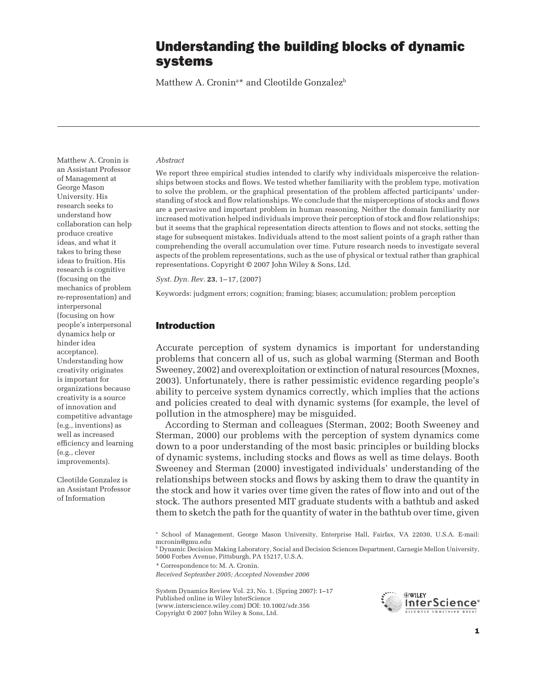# Understanding the building blocks of dynamic systems

Matthew A. Cronin $^{\mathrm{a}\star}$  and Cleotilde Gonzalez $^{\mathrm{b}}$ 

Matthew A. Cronin is an Assistant Professor of Management at George Mason University. His research seeks to understand how collaboration can help produce creative ideas, and what it takes to bring these ideas to fruition. His research is cognitive (focusing on the mechanics of problem re-representation) and interpersonal (focusing on how people's interpersonal dynamics help or hinder idea acceptance). Understanding how creativity originates is important for organizations because creativity is a source of innovation and competitive advantage (e.g., inventions) as well as increased efficiency and learning (e.g., clever improvements).

Cleotilde Gonzalez is an Assistant Professor of Information

#### *Abstract*

We report three empirical studies intended to clarify why individuals misperceive the relationships between stocks and flows. We tested whether familiarity with the problem type, motivation to solve the problem, or the graphical presentation of the problem affected participants' understanding of stock and flow relationships. We conclude that the misperceptions of stocks and flows are a pervasive and important problem in human reasoning. Neither the domain familiarity nor increased motivation helped individuals improve their perception of stock and flow relationships; but it seems that the graphical representation directs attention to flows and not stocks, setting the stage for subsequent mistakes. Individuals attend to the most salient points of a graph rather than comprehending the overall accumulation over time. Future research needs to investigate several aspects of the problem representations, such as the use of physical or textual rather than graphical representations. Copyright © 2007 John Wiley & Sons, Ltd.

*Syst. Dyn. Rev.* **23**, 1–17, (2007)

Keywords: judgment errors; cognition; framing; biases; accumulation; problem perception

## Introduction

Accurate perception of system dynamics is important for understanding problems that concern all of us, such as global warming (Sterman and Booth Sweeney, 2002) and overexploitation or extinction of natural resources (Moxnes, 2003). Unfortunately, there is rather pessimistic evidence regarding people's ability to perceive system dynamics correctly, which implies that the actions and policies created to deal with dynamic systems (for example, the level of pollution in the atmosphere) may be misguided.

According to Sterman and colleagues (Sterman, 2002; Booth Sweeney and Sterman, 2000) our problems with the perception of system dynamics come down to a poor understanding of the most basic principles or building blocks of dynamic systems, including stocks and flows as well as time delays. Booth Sweeney and Sterman (2000) investigated individuals' understanding of the relationships between stocks and flows by asking them to draw the quantity in the stock and how it varies over time given the rates of flow into and out of the stock. The authors presented MIT graduate students with a bathtub and asked them to sketch the path for the quantity of water in the bathtub over time, given

\* Correspondence to: M. A. Cronin.

System Dynamics Review Vol. 23, No. 1, (Spring 2007): 1–17 Published online in Wiley InterScience (www.interscience.wiley.com) DOI: 10.1002/sdr.356 Copyright © 2007 John Wiley & Sons, Ltd.



a School of Management, George Mason University, Enterprise Hall, Fairfax, VA 22030, U.S.A. E-mail: mcronin@gmu.edu

 $^{\rm b}$  Dynamic Decision Making Laboratory, Social and Decision Sciences Department, Carnegie Mellon University, 5000 Forbes Avenue, Pittsburgh, PA 15217, U.S.A.

*Received September 2005; Accepted November 2006*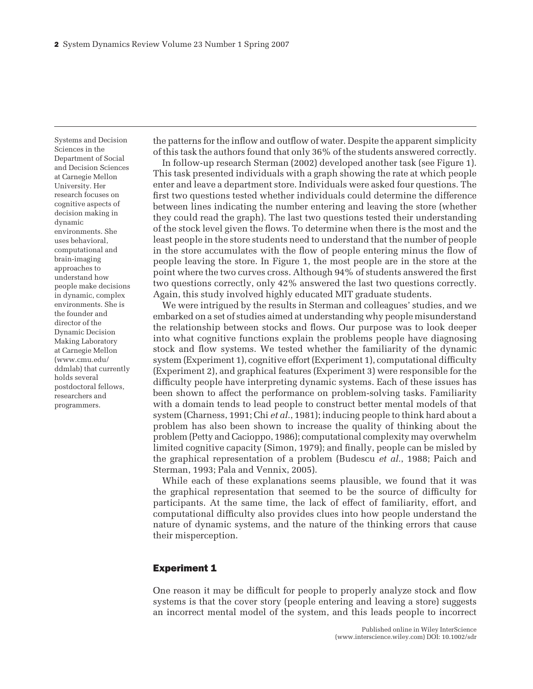Systems and Decision Sciences in the Department of Social and Decision Sciences at Carnegie Mellon University. Her research focuses on cognitive aspects of decision making in dynamic environments. She uses behavioral, computational and brain-imaging approaches to understand how people make decisions in dynamic, complex environments. She is the founder and director of the Dynamic Decision Making Laboratory at Carnegie Mellon (www.cmu.edu/ ddmlab) that currently holds several postdoctoral fellows, researchers and programmers.

the patterns for the inflow and outflow of water. Despite the apparent simplicity of this task the authors found that only 36% of the students answered correctly.

In follow-up research Sterman (2002) developed another task (see Figure 1). This task presented individuals with a graph showing the rate at which people enter and leave a department store. Individuals were asked four questions. The first two questions tested whether individuals could determine the difference between lines indicating the number entering and leaving the store (whether they could read the graph). The last two questions tested their understanding of the stock level given the flows. To determine when there is the most and the least people in the store students need to understand that the number of people in the store accumulates with the flow of people entering minus the flow of people leaving the store. In Figure 1, the most people are in the store at the point where the two curves cross. Although 94% of students answered the first two questions correctly, only 42% answered the last two questions correctly. Again, this study involved highly educated MIT graduate students.

We were intrigued by the results in Sterman and colleagues' studies, and we embarked on a set of studies aimed at understanding why people misunderstand the relationship between stocks and flows. Our purpose was to look deeper into what cognitive functions explain the problems people have diagnosing stock and flow systems. We tested whether the familiarity of the dynamic system (Experiment 1), cognitive effort (Experiment 1), computational difficulty (Experiment 2), and graphical features (Experiment 3) were responsible for the difficulty people have interpreting dynamic systems. Each of these issues has been shown to affect the performance on problem-solving tasks. Familiarity with a domain tends to lead people to construct better mental models of that system (Charness, 1991; Chi *et al.*, 1981); inducing people to think hard about a problem has also been shown to increase the quality of thinking about the problem (Petty and Cacioppo, 1986); computational complexity may overwhelm limited cognitive capacity (Simon, 1979); and finally, people can be misled by the graphical representation of a problem (Budescu *et al.*, 1988; Paich and Sterman, 1993; Pala and Vennix, 2005).

While each of these explanations seems plausible, we found that it was the graphical representation that seemed to be the source of difficulty for participants. At the same time, the lack of effect of familiarity, effort, and computational difficulty also provides clues into how people understand the nature of dynamic systems, and the nature of the thinking errors that cause their misperception.

## Experiment 1

One reason it may be difficult for people to properly analyze stock and flow systems is that the cover story (people entering and leaving a store) suggests an incorrect mental model of the system, and this leads people to incorrect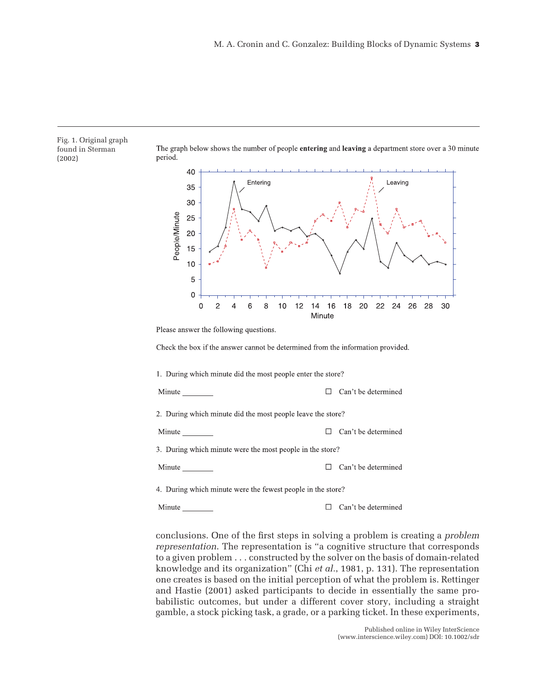

The graph below shows the number of people entering and leaving a department store over a 30 minute period.



Please answer the following questions.

Check the box if the answer cannot be determined from the information provided.

| 1. During which minute did the most people enter the store? |  |  |  |  |
|-------------------------------------------------------------|--|--|--|--|
|                                                             |  |  |  |  |
|                                                             |  |  |  |  |

 $\Box$  Can't be determined Minute

2. During which minute did the most people leave the store?

 $\Box$  Can't be determined

3. During which minute were the most people in the store?

Minute

Minute

 $\Box$  Can't be determined

4. During which minute were the fewest people in the store?

Minute

 $\Box$  Can't be determined

conclusions. One of the first steps in solving a problem is creating a *problem representation*. The representation is "a cognitive structure that corresponds to a given problem . . . constructed by the solver on the basis of domain-related knowledge and its organization" (Chi *et al.*, 1981, p. 131). The representation one creates is based on the initial perception of what the problem is. Rettinger and Hastie (2001) asked participants to decide in essentially the same probabilistic outcomes, but under a different cover story, including a straight gamble, a stock picking task, a grade, or a parking ticket. In these experiments,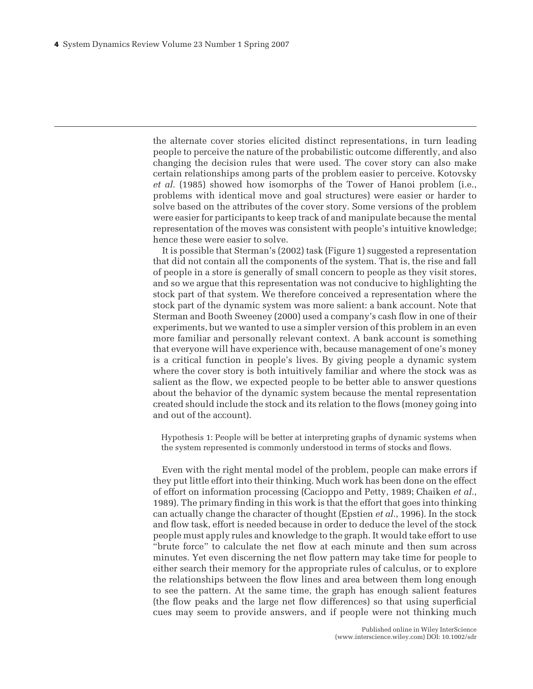the alternate cover stories elicited distinct representations, in turn leading people to perceive the nature of the probabilistic outcome differently, and also changing the decision rules that were used. The cover story can also make certain relationships among parts of the problem easier to perceive. Kotovsky *et al.* (1985) showed how isomorphs of the Tower of Hanoi problem (i.e., problems with identical move and goal structures) were easier or harder to solve based on the attributes of the cover story. Some versions of the problem were easier for participants to keep track of and manipulate because the mental representation of the moves was consistent with people's intuitive knowledge; hence these were easier to solve.

It is possible that Sterman's (2002) task (Figure 1) suggested a representation that did not contain all the components of the system. That is, the rise and fall of people in a store is generally of small concern to people as they visit stores, and so we argue that this representation was not conducive to highlighting the stock part of that system. We therefore conceived a representation where the stock part of the dynamic system was more salient: a bank account. Note that Sterman and Booth Sweeney (2000) used a company's cash flow in one of their experiments, but we wanted to use a simpler version of this problem in an even more familiar and personally relevant context. A bank account is something that everyone will have experience with, because management of one's money is a critical function in people's lives. By giving people a dynamic system where the cover story is both intuitively familiar and where the stock was as salient as the flow, we expected people to be better able to answer questions about the behavior of the dynamic system because the mental representation created should include the stock and its relation to the flows (money going into and out of the account).

Hypothesis 1: People will be better at interpreting graphs of dynamic systems when the system represented is commonly understood in terms of stocks and flows.

Even with the right mental model of the problem, people can make errors if they put little effort into their thinking. Much work has been done on the effect of effort on information processing (Cacioppo and Petty, 1989; Chaiken *et al.*, 1989). The primary finding in this work is that the effort that goes into thinking can actually change the character of thought (Epstien *et al.*, 1996). In the stock and flow task, effort is needed because in order to deduce the level of the stock people must apply rules and knowledge to the graph. It would take effort to use "brute force" to calculate the net flow at each minute and then sum across minutes. Yet even discerning the net flow pattern may take time for people to either search their memory for the appropriate rules of calculus, or to explore the relationships between the flow lines and area between them long enough to see the pattern. At the same time, the graph has enough salient features (the flow peaks and the large net flow differences) so that using superficial cues may seem to provide answers, and if people were not thinking much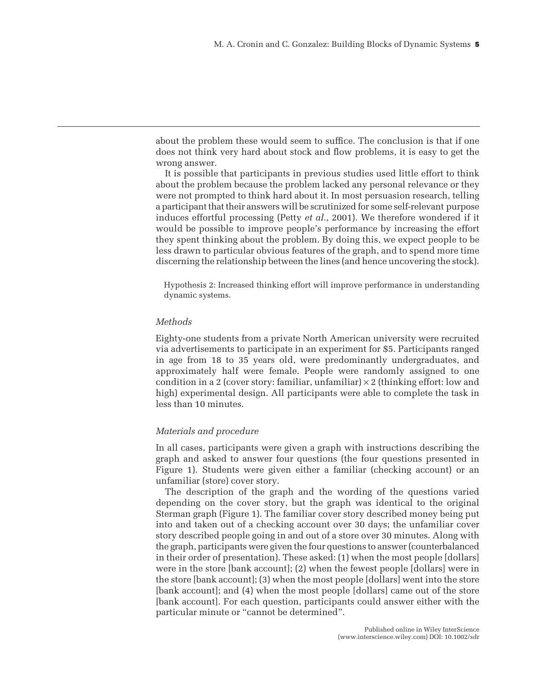about the problem these would seem to suffice. The conclusion is that if one does not think very hard about stock and flow problems, it is easy to get the wrong answer.

It is possible that participants in previous studies used little effort to think about the problem because the problem lacked any personal relevance or they were not prompted to think hard about it. In most persuasion research, telling a participant that their answers will be scrutinized for some self-relevant purpose induces effortful processing (Petty *et al.*, 2001). We therefore wondered if it would be possible to improve people's performance by increasing the effort they spent thinking about the problem. By doing this, we expect people to be less drawn to particular obvious features of the graph, and to spend more time discerning the relationship between the lines (and hence uncovering the stock).

Hypothesis 2: Increased thinking effort will improve performance in understanding dynamic systems.

### *Methods*

Eighty-one students from a private North American university were recruited via advertisements to participate in an experiment for \$5. Participants ranged in age from 18 to 35 years old, were predominantly undergraduates, and approximately half were female. People were randomly assigned to one condition in a 2 (cover story: familiar, unfamiliar)  $\times$  2 (thinking effort: low and high) experimental design. All participants were able to complete the task in less than 10 minutes.

### *Materials and procedure*

In all cases, participants were given a graph with instructions describing the graph and asked to answer four questions (the four questions presented in Figure 1). Students were given either a familiar (checking account) or an unfamiliar (store) cover story.

The description of the graph and the wording of the questions varied depending on the cover story, but the graph was identical to the original Sterman graph (Figure 1). The familiar cover story described money being put into and taken out of a checking account over 30 days; the unfamiliar cover story described people going in and out of a store over 30 minutes. Along with the graph, participants were given the four questions to answer (counterbalanced in their order of presentation). These asked: (1) when the most people [dollars] were in the store [bank account]; (2) when the fewest people [dollars] were in the store [bank account]; (3) when the most people [dollars] went into the store [bank account]; and (4) when the most people [dollars] came out of the store [bank account]. For each question, participants could answer either with the particular minute or "cannot be determined".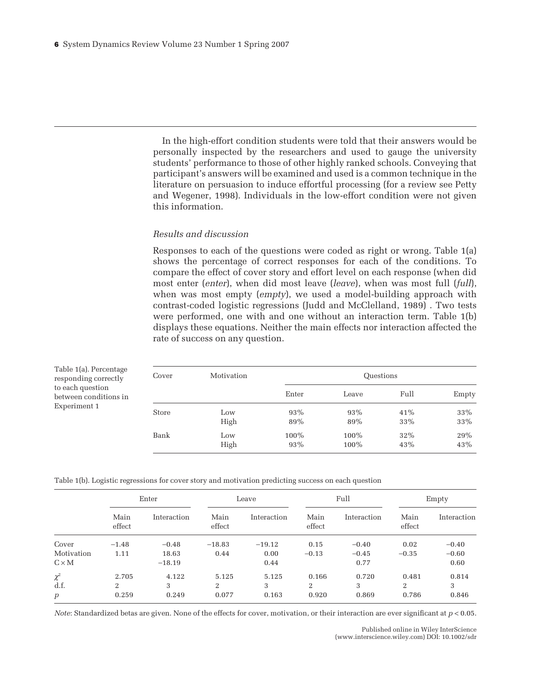In the high-effort condition students were told that their answers would be personally inspected by the researchers and used to gauge the university students' performance to those of other highly ranked schools. Conveying that participant's answers will be examined and used is a common technique in the literature on persuasion to induce effortful processing (for a review see Petty and Wegener, 1998). Individuals in the low-effort condition were not given this information.

### *Results and discussion*

Table 1(a). Percentage responding correctly to each question between conditions in Experiment 1

Responses to each of the questions were coded as right or wrong. Table 1(a) shows the percentage of correct responses for each of the conditions. To compare the effect of cover story and effort level on each response (when did most enter (*enter*), when did most leave (*leave*), when was most full (*full*), when was most empty (*empty*), we used a model-building approach with contrast-coded logistic regressions (Judd and McClelland, 1989) . Two tests were performed, one with and one without an interaction term. Table 1(b) displays these equations. Neither the main effects nor interaction affected the rate of success on any question.

| Cover | Motivation | Questions |       |      |       |  |  |
|-------|------------|-----------|-------|------|-------|--|--|
|       |            | Enter     | Leave | Full | Empty |  |  |
| Store | Low        | 93%       | 93%   | 41%  | 33%   |  |  |
|       | High       | 89%       | 89%   | 33%  | 33%   |  |  |
| Bank  | Low        | 100%      | 100%  | 32%  | 29%   |  |  |
|       | High       | 93%       | 100%  | 43%  | 43%   |  |  |

Table 1(b). Logistic regressions for cover story and motivation predicting success on each question

|              | Enter          |             |                | Leave       |                | Full        |                | Empty       |  |
|--------------|----------------|-------------|----------------|-------------|----------------|-------------|----------------|-------------|--|
|              | Main<br>effect | Interaction | Main<br>effect | Interaction | Main<br>effect | Interaction | Main<br>effect | Interaction |  |
| Cover        | $-1.48$        | $-0.48$     | $-18.83$       | $-19.12$    | 0.15           | $-0.40$     | 0.02           | $-0.40$     |  |
| Motivation   | 1.11           | 18.63       | 0.44           | 0.00        | $-0.13$        | $-0.45$     | $-0.35$        | $-0.60$     |  |
| $C \times M$ |                | $-18.19$    |                | 0.44        |                | 0.77        |                | 0.60        |  |
| $\chi^2$     | 2.705          | 4.122       | 5.125          | 5.125       | 0.166          | 0.720       | 0.481          | 0.814       |  |
| d.f.         | 2              | 3           | 2              | 3           | 2              | 3           | $\overline{2}$ | 3           |  |
| p            | 0.259          | 0.249       | 0.077          | 0.163       | 0.920          | 0.869       | 0.786          | 0.846       |  |

*Note*: Standardized betas are given. None of the effects for cover, motivation, or their interaction are ever significant at *p* < 0.05.

Published online in Wiley InterScience (www.interscience.wiley.com) DOI: 10.1002/sdr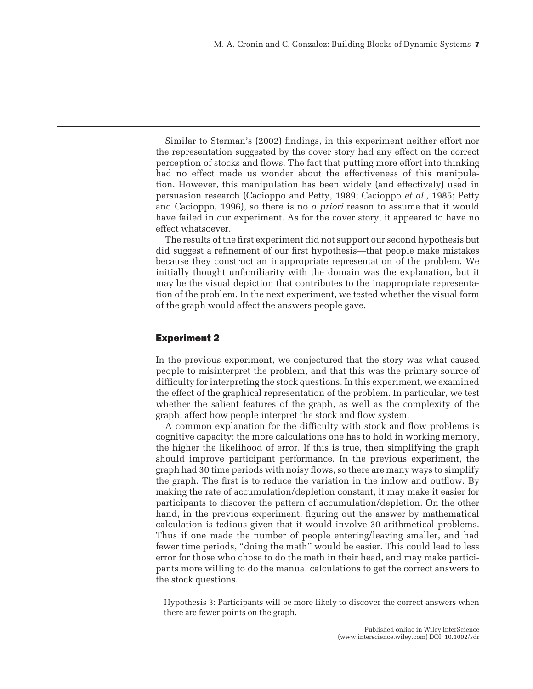Similar to Sterman's (2002) findings, in this experiment neither effort nor the representation suggested by the cover story had any effect on the correct perception of stocks and flows. The fact that putting more effort into thinking had no effect made us wonder about the effectiveness of this manipulation. However, this manipulation has been widely (and effectively) used in persuasion research (Cacioppo and Petty, 1989; Cacioppo *et al.*, 1985; Petty and Cacioppo, 1996), so there is no *a priori* reason to assume that it would have failed in our experiment. As for the cover story, it appeared to have no effect whatsoever.

The results of the first experiment did not support our second hypothesis but did suggest a refinement of our first hypothesis—that people make mistakes because they construct an inappropriate representation of the problem. We initially thought unfamiliarity with the domain was the explanation, but it may be the visual depiction that contributes to the inappropriate representation of the problem. In the next experiment, we tested whether the visual form of the graph would affect the answers people gave.

## Experiment 2

In the previous experiment, we conjectured that the story was what caused people to misinterpret the problem, and that this was the primary source of difficulty for interpreting the stock questions. In this experiment, we examined the effect of the graphical representation of the problem. In particular, we test whether the salient features of the graph, as well as the complexity of the graph, affect how people interpret the stock and flow system.

A common explanation for the difficulty with stock and flow problems is cognitive capacity: the more calculations one has to hold in working memory, the higher the likelihood of error. If this is true, then simplifying the graph should improve participant performance. In the previous experiment, the graph had 30 time periods with noisy flows, so there are many ways to simplify the graph. The first is to reduce the variation in the inflow and outflow. By making the rate of accumulation/depletion constant, it may make it easier for participants to discover the pattern of accumulation/depletion. On the other hand, in the previous experiment, figuring out the answer by mathematical calculation is tedious given that it would involve 30 arithmetical problems. Thus if one made the number of people entering/leaving smaller, and had fewer time periods, "doing the math" would be easier. This could lead to less error for those who chose to do the math in their head, and may make participants more willing to do the manual calculations to get the correct answers to the stock questions.

Hypothesis 3: Participants will be more likely to discover the correct answers when there are fewer points on the graph.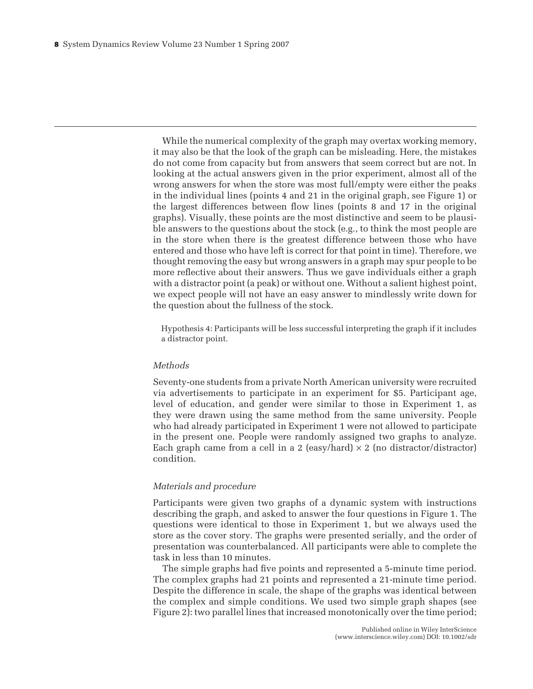While the numerical complexity of the graph may overtax working memory, it may also be that the look of the graph can be misleading. Here, the mistakes do not come from capacity but from answers that seem correct but are not. In looking at the actual answers given in the prior experiment, almost all of the wrong answers for when the store was most full/empty were either the peaks in the individual lines (points 4 and 21 in the original graph, see Figure 1) or the largest differences between flow lines (points 8 and 17 in the original graphs). Visually, these points are the most distinctive and seem to be plausible answers to the questions about the stock (e.g., to think the most people are in the store when there is the greatest difference between those who have entered and those who have left is correct for that point in time). Therefore, we thought removing the easy but wrong answers in a graph may spur people to be more reflective about their answers. Thus we gave individuals either a graph with a distractor point (a peak) or without one. Without a salient highest point, we expect people will not have an easy answer to mindlessly write down for the question about the fullness of the stock.

Hypothesis 4: Participants will be less successful interpreting the graph if it includes a distractor point.

### *Methods*

Seventy-one students from a private North American university were recruited via advertisements to participate in an experiment for \$5. Participant age, level of education, and gender were similar to those in Experiment 1, as they were drawn using the same method from the same university. People who had already participated in Experiment 1 were not allowed to participate in the present one. People were randomly assigned two graphs to analyze. Each graph came from a cell in a 2 (easy/hard)  $\times$  2 (no distractor/distractor) condition.

## *Materials and procedure*

Participants were given two graphs of a dynamic system with instructions describing the graph, and asked to answer the four questions in Figure 1. The questions were identical to those in Experiment 1, but we always used the store as the cover story. The graphs were presented serially, and the order of presentation was counterbalanced. All participants were able to complete the task in less than 10 minutes.

The simple graphs had five points and represented a 5-minute time period. The complex graphs had 21 points and represented a 21-minute time period. Despite the difference in scale, the shape of the graphs was identical between the complex and simple conditions. We used two simple graph shapes (see Figure 2): two parallel lines that increased monotonically over the time period;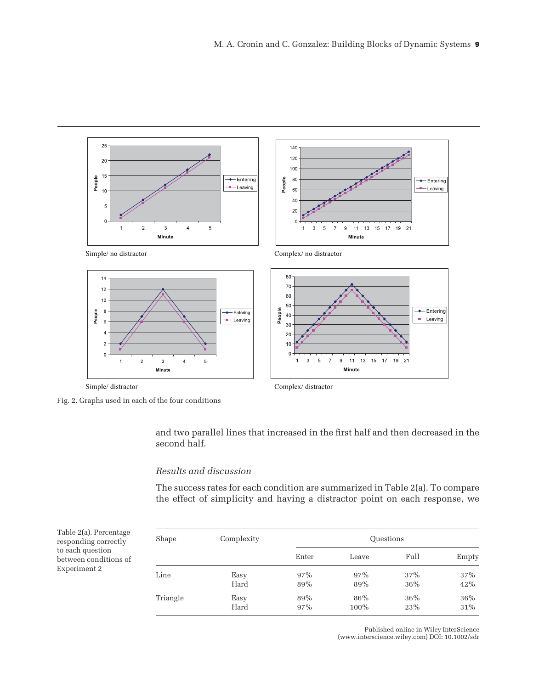

Fig. 2. Graphs used in each of the four conditions

Table 2(a). Percentage responding correctly to each question between conditions of Experiment 2

and two parallel lines that increased in the first half and then decreased in the second half.

## *Results and discussion*

The success rates for each condition are summarized in Table 2(a). To compare the effect of simplicity and having a distractor point on each response, we

| Shape    | Complexity | Questions |       |      |       |  |  |
|----------|------------|-----------|-------|------|-------|--|--|
|          |            | Enter     | Leave | Full | Empty |  |  |
| Line     | Easy       | 97%       | 97%   | 37%  | 37%   |  |  |
|          | Hard       | 89%       | 89%   | 36%  | 42%   |  |  |
| Triangle | Easy       | 89%       | 86%   | 36%  | 36%   |  |  |
|          | Hard       | 97%       | 100%  | 23%  | 31%   |  |  |

Published online in Wiley InterScience (www.interscience.wiley.com) DOI: 10.1002/sdr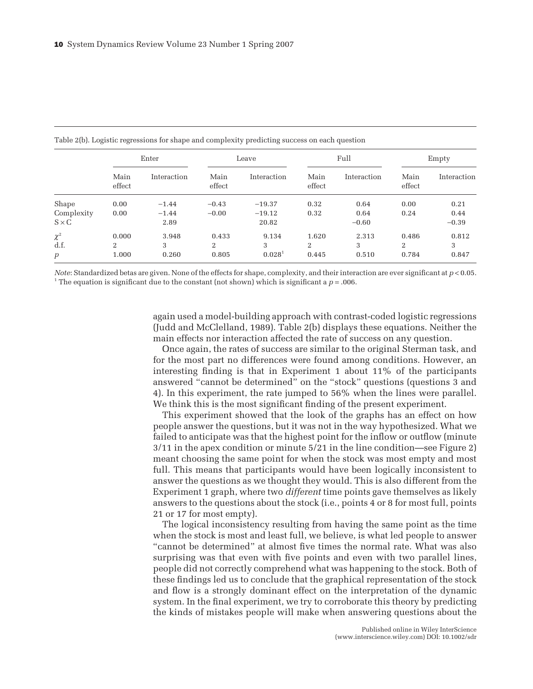|              | Enter          |             | Leave          |                    | Full           |             | Empty          |             |
|--------------|----------------|-------------|----------------|--------------------|----------------|-------------|----------------|-------------|
|              | Main<br>effect | Interaction | Main<br>effect | Interaction        | Main<br>effect | Interaction | Main<br>effect | Interaction |
| Shape        | 0.00           | $-1.44$     | $-0.43$        | $-19.37$           | 0.32           | 0.64        | 0.00           | 0.21        |
| Complexity   | 0.00           | $-1.44$     | $-0.00$        | $-19.12$           | 0.32           | 0.64        | 0.24           | 0.44        |
| $S \times C$ |                | 2.89        |                | 20.82              |                | $-0.60$     |                | $-0.39$     |
| $\chi^2$     | 0.000          | 3.948       | 0.433          | 9.134              | 1.620          | 2.313       | 0.486          | 0.812       |
| d.f.         | 2              | 3           | 2              | 3                  | 2              | 3           | 2              | 3           |
| p            | 1.000          | 0.260       | 0.805          | 0.028 <sup>1</sup> | 0.445          | 0.510       | 0.784          | 0.847       |

Table 2(b). Logistic regressions for shape and complexity predicting success on each question

*Note*: Standardized betas are given. None of the effects for shape, complexity, and their interaction are ever significant at *p* < 0.05. <sup>1</sup> The equation is significant due to the constant (not shown) which is significant a  $p = .006$ .

> again used a model-building approach with contrast-coded logistic regressions (Judd and McClelland, 1989). Table 2(b) displays these equations. Neither the main effects nor interaction affected the rate of success on any question.

> Once again, the rates of success are similar to the original Sterman task, and for the most part no differences were found among conditions. However, an interesting finding is that in Experiment 1 about 11% of the participants answered "cannot be determined" on the "stock" questions (questions 3 and 4). In this experiment, the rate jumped to 56% when the lines were parallel. We think this is the most significant finding of the present experiment.

> This experiment showed that the look of the graphs has an effect on how people answer the questions, but it was not in the way hypothesized. What we failed to anticipate was that the highest point for the inflow or outflow (minute 3/11 in the apex condition or minute 5/21 in the line condition—see Figure 2) meant choosing the same point for when the stock was most empty and most full. This means that participants would have been logically inconsistent to answer the questions as we thought they would. This is also different from the Experiment 1 graph, where two *different* time points gave themselves as likely answers to the questions about the stock (i.e., points 4 or 8 for most full, points 21 or 17 for most empty).

> The logical inconsistency resulting from having the same point as the time when the stock is most and least full, we believe, is what led people to answer "cannot be determined" at almost five times the normal rate. What was also surprising was that even with five points and even with two parallel lines, people did not correctly comprehend what was happening to the stock. Both of these findings led us to conclude that the graphical representation of the stock and flow is a strongly dominant effect on the interpretation of the dynamic system. In the final experiment, we try to corroborate this theory by predicting the kinds of mistakes people will make when answering questions about the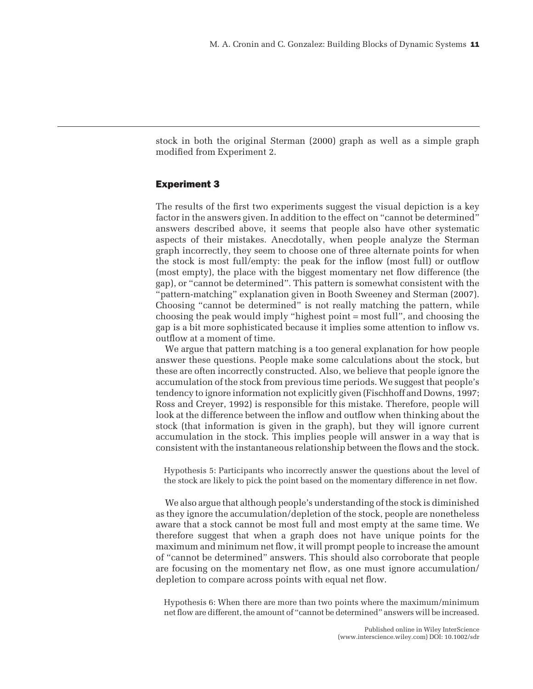stock in both the original Sterman (2000) graph as well as a simple graph modified from Experiment 2.

## Experiment 3

The results of the first two experiments suggest the visual depiction is a key factor in the answers given. In addition to the effect on "cannot be determined" answers described above, it seems that people also have other systematic aspects of their mistakes. Anecdotally, when people analyze the Sterman graph incorrectly, they seem to choose one of three alternate points for when the stock is most full/empty: the peak for the inflow (most full) or outflow (most empty), the place with the biggest momentary net flow difference (the gap), or "cannot be determined". This pattern is somewhat consistent with the "pattern-matching" explanation given in Booth Sweeney and Sterman (2007). Choosing "cannot be determined" is not really matching the pattern, while choosing the peak would imply "highest point = most full", and choosing the gap is a bit more sophisticated because it implies some attention to inflow vs. outflow at a moment of time.

We argue that pattern matching is a too general explanation for how people answer these questions. People make some calculations about the stock, but these are often incorrectly constructed. Also, we believe that people ignore the accumulation of the stock from previous time periods. We suggest that people's tendency to ignore information not explicitly given (Fischhoff and Downs, 1997; Ross and Creyer, 1992) is responsible for this mistake. Therefore, people will look at the difference between the inflow and outflow when thinking about the stock (that information is given in the graph), but they will ignore current accumulation in the stock. This implies people will answer in a way that is consistent with the instantaneous relationship between the flows and the stock.

Hypothesis 5: Participants who incorrectly answer the questions about the level of the stock are likely to pick the point based on the momentary difference in net flow.

We also argue that although people's understanding of the stock is diminished as they ignore the accumulation/depletion of the stock, people are nonetheless aware that a stock cannot be most full and most empty at the same time. We therefore suggest that when a graph does not have unique points for the maximum and minimum net flow, it will prompt people to increase the amount of "cannot be determined" answers. This should also corroborate that people are focusing on the momentary net flow, as one must ignore accumulation/ depletion to compare across points with equal net flow.

Hypothesis 6: When there are more than two points where the maximum/minimum net flow are different, the amount of "cannot be determined" answers will be increased.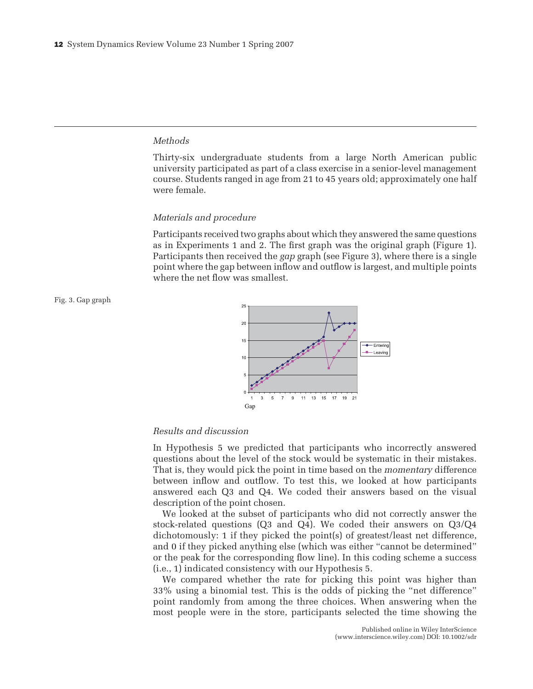### *Methods*

Thirty-six undergraduate students from a large North American public university participated as part of a class exercise in a senior-level management course. Students ranged in age from 21 to 45 years old; approximately one half were female.

## *Materials and procedure*

Participants received two graphs about which they answered the same questions as in Experiments 1 and 2. The first graph was the original graph (Figure 1). Participants then received the *gap* graph (see Figure 3), where there is a single point where the gap between inflow and outflow is largest, and multiple points where the net flow was smallest.

Fig. 3. Gap graph



## *Results and discussion*

In Hypothesis 5 we predicted that participants who incorrectly answered questions about the level of the stock would be systematic in their mistakes. That is, they would pick the point in time based on the *momentary* difference between inflow and outflow. To test this, we looked at how participants answered each Q3 and Q4. We coded their answers based on the visual description of the point chosen.

We looked at the subset of participants who did not correctly answer the stock-related questions (Q3 and Q4). We coded their answers on Q3/Q4 dichotomously: 1 if they picked the point(s) of greatest/least net difference, and 0 if they picked anything else (which was either "cannot be determined" or the peak for the corresponding flow line). In this coding scheme a success (i.e., 1) indicated consistency with our Hypothesis 5.

We compared whether the rate for picking this point was higher than 33% using a binomial test. This is the odds of picking the "net difference" point randomly from among the three choices. When answering when the most people were in the store, participants selected the time showing the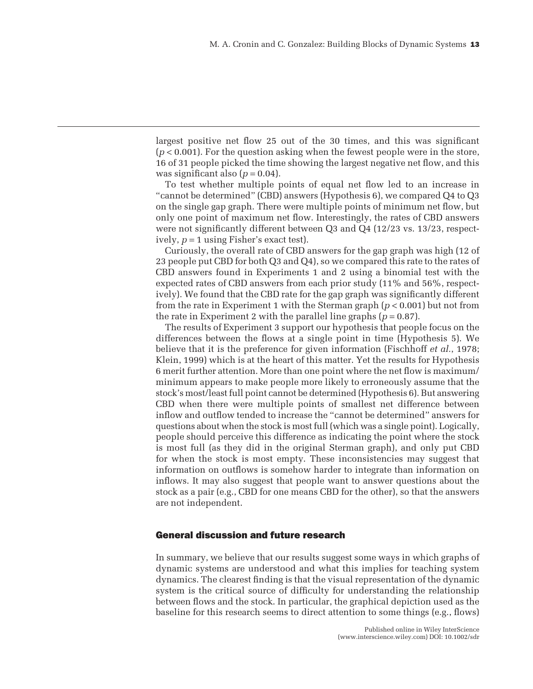largest positive net flow 25 out of the 30 times, and this was significant (*p* < 0.001). For the question asking when the fewest people were in the store, 16 of 31 people picked the time showing the largest negative net flow, and this was significant also  $(p = 0.04)$ .

To test whether multiple points of equal net flow led to an increase in "cannot be determined" (CBD) answers (Hypothesis 6), we compared Q4 to Q3 on the single gap graph. There were multiple points of minimum net flow, but only one point of maximum net flow. Interestingly, the rates of CBD answers were not significantly different between Q3 and Q4 (12/23 vs. 13/23, respectively, *p* = 1 using Fisher's exact test).

Curiously, the overall rate of CBD answers for the gap graph was high (12 of 23 people put CBD for both Q3 and Q4), so we compared this rate to the rates of CBD answers found in Experiments 1 and 2 using a binomial test with the expected rates of CBD answers from each prior study (11% and 56%, respectively). We found that the CBD rate for the gap graph was significantly different from the rate in Experiment 1 with the Sterman graph (*p* < 0.001) but not from the rate in Experiment 2 with the parallel line graphs  $(p = 0.87)$ .

The results of Experiment 3 support our hypothesis that people focus on the differences between the flows at a single point in time (Hypothesis 5). We believe that it is the preference for given information (Fischhoff *et al.*, 1978; Klein, 1999) which is at the heart of this matter. Yet the results for Hypothesis 6 merit further attention. More than one point where the net flow is maximum/ minimum appears to make people more likely to erroneously assume that the stock's most/least full point cannot be determined (Hypothesis 6). But answering CBD when there were multiple points of smallest net difference between inflow and outflow tended to increase the "cannot be determined" answers for questions about when the stock is most full (which was a single point). Logically, people should perceive this difference as indicating the point where the stock is most full (as they did in the original Sterman graph), and only put CBD for when the stock is most empty. These inconsistencies may suggest that information on outflows is somehow harder to integrate than information on inflows. It may also suggest that people want to answer questions about the stock as a pair (e.g., CBD for one means CBD for the other), so that the answers are not independent.

## General discussion and future research

In summary, we believe that our results suggest some ways in which graphs of dynamic systems are understood and what this implies for teaching system dynamics. The clearest finding is that the visual representation of the dynamic system is the critical source of difficulty for understanding the relationship between flows and the stock. In particular, the graphical depiction used as the baseline for this research seems to direct attention to some things (e.g., flows)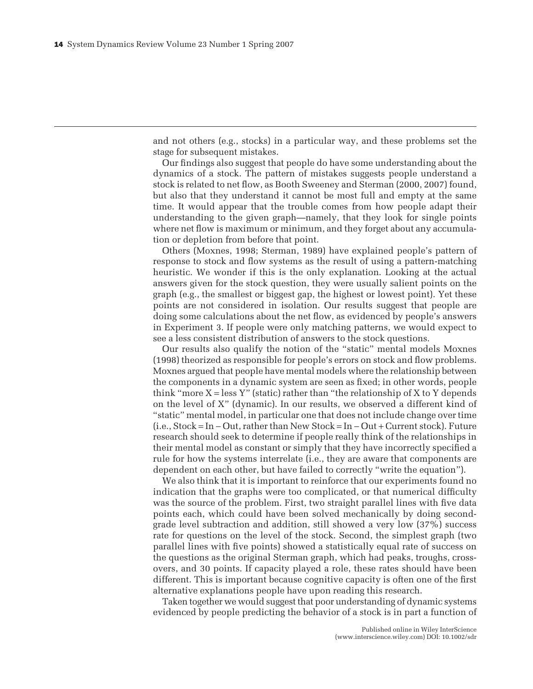and not others (e.g., stocks) in a particular way, and these problems set the stage for subsequent mistakes.

Our findings also suggest that people do have some understanding about the dynamics of a stock. The pattern of mistakes suggests people understand a stock is related to net flow, as Booth Sweeney and Sterman (2000, 2007) found, but also that they understand it cannot be most full and empty at the same time. It would appear that the trouble comes from how people adapt their understanding to the given graph—namely, that they look for single points where net flow is maximum or minimum, and they forget about any accumulation or depletion from before that point.

Others (Moxnes, 1998; Sterman, 1989) have explained people's pattern of response to stock and flow systems as the result of using a pattern-matching heuristic. We wonder if this is the only explanation. Looking at the actual answers given for the stock question, they were usually salient points on the graph (e.g., the smallest or biggest gap, the highest or lowest point). Yet these points are not considered in isolation. Our results suggest that people are doing some calculations about the net flow, as evidenced by people's answers in Experiment 3. If people were only matching patterns, we would expect to see a less consistent distribution of answers to the stock questions.

Our results also qualify the notion of the "static" mental models Moxnes (1998) theorized as responsible for people's errors on stock and flow problems. Moxnes argued that people have mental models where the relationship between the components in a dynamic system are seen as fixed; in other words, people think "more  $X =$  less Y" (static) rather than "the relationship of X to Y depends on the level of X" (dynamic). In our results, we observed a different kind of "static" mental model, in particular one that does not include change over time (i.e., Stock = In − Out, rather than New Stock = In − Out + Current stock). Future research should seek to determine if people really think of the relationships in their mental model as constant or simply that they have incorrectly specified a rule for how the systems interrelate (i.e., they are aware that components are dependent on each other, but have failed to correctly "write the equation").

We also think that it is important to reinforce that our experiments found no indication that the graphs were too complicated, or that numerical difficulty was the source of the problem. First, two straight parallel lines with five data points each, which could have been solved mechanically by doing secondgrade level subtraction and addition, still showed a very low (37%) success rate for questions on the level of the stock. Second, the simplest graph (two parallel lines with five points) showed a statistically equal rate of success on the questions as the original Sterman graph, which had peaks, troughs, crossovers, and 30 points. If capacity played a role, these rates should have been different. This is important because cognitive capacity is often one of the first alternative explanations people have upon reading this research.

Taken together we would suggest that poor understanding of dynamic systems evidenced by people predicting the behavior of a stock is in part a function of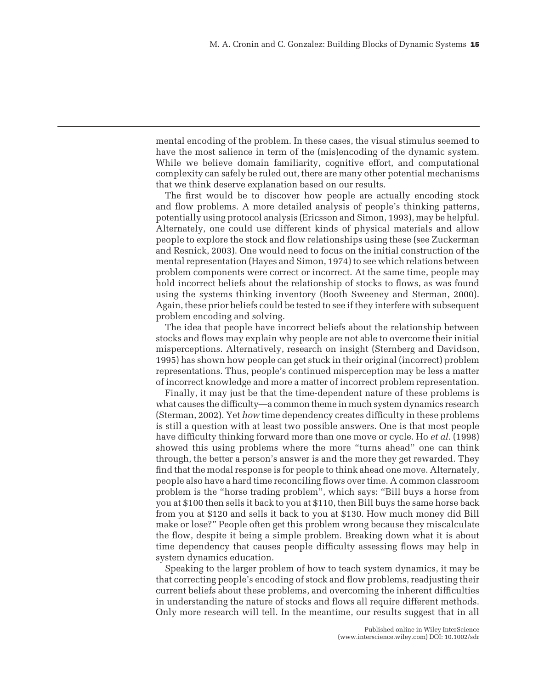mental encoding of the problem. In these cases, the visual stimulus seemed to have the most salience in term of the (mis)encoding of the dynamic system. While we believe domain familiarity, cognitive effort, and computational complexity can safely be ruled out, there are many other potential mechanisms that we think deserve explanation based on our results.

The first would be to discover how people are actually encoding stock and flow problems. A more detailed analysis of people's thinking patterns, potentially using protocol analysis (Ericsson and Simon, 1993), may be helpful. Alternately, one could use different kinds of physical materials and allow people to explore the stock and flow relationships using these (see Zuckerman and Resnick, 2003). One would need to focus on the initial construction of the mental representation (Hayes and Simon, 1974) to see which relations between problem components were correct or incorrect. At the same time, people may hold incorrect beliefs about the relationship of stocks to flows, as was found using the systems thinking inventory (Booth Sweeney and Sterman, 2000). Again, these prior beliefs could be tested to see if they interfere with subsequent problem encoding and solving.

The idea that people have incorrect beliefs about the relationship between stocks and flows may explain why people are not able to overcome their initial misperceptions. Alternatively, research on insight (Sternberg and Davidson, 1995) has shown how people can get stuck in their original (incorrect) problem representations. Thus, people's continued misperception may be less a matter of incorrect knowledge and more a matter of incorrect problem representation.

Finally, it may just be that the time-dependent nature of these problems is what causes the difficulty—a common theme in much system dynamics research (Sterman, 2002). Yet *how* time dependency creates difficulty in these problems is still a question with at least two possible answers. One is that most people have difficulty thinking forward more than one move or cycle. Ho *et al.* (1998) showed this using problems where the more "turns ahead" one can think through, the better a person's answer is and the more they get rewarded. They find that the modal response is for people to think ahead one move. Alternately, people also have a hard time reconciling flows over time. A common classroom problem is the "horse trading problem", which says: "Bill buys a horse from you at \$100 then sells it back to you at \$110, then Bill buys the same horse back from you at \$120 and sells it back to you at \$130. How much money did Bill make or lose?" People often get this problem wrong because they miscalculate the flow, despite it being a simple problem. Breaking down what it is about time dependency that causes people difficulty assessing flows may help in system dynamics education.

Speaking to the larger problem of how to teach system dynamics, it may be that correcting people's encoding of stock and flow problems, readjusting their current beliefs about these problems, and overcoming the inherent difficulties in understanding the nature of stocks and flows all require different methods. Only more research will tell. In the meantime, our results suggest that in all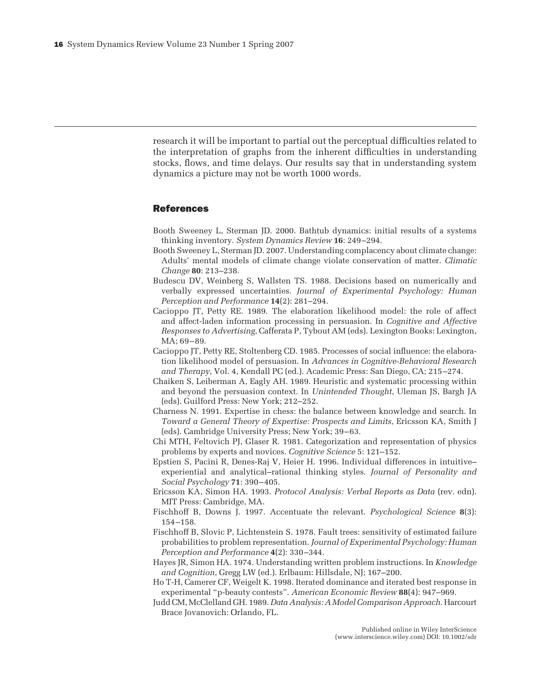research it will be important to partial out the perceptual difficulties related to the interpretation of graphs from the inherent difficulties in understanding stocks, flows, and time delays. Our results say that in understanding system dynamics a picture may not be worth 1000 words.

### References

- Booth Sweeney L, Sterman JD. 2000. Bathtub dynamics: initial results of a systems thinking inventory. *System Dynamics Review* **16**: 249–294.
- Booth Sweeney L, Sterman JD. 2007. Understanding complacency about climate change: Adults' mental models of climate change violate conservation of matter. *Climatic Change* **80**: 213–238.
- Budescu DV, Weinberg S, Wallsten TS. 1988. Decisions based on numerically and verbally expressed uncertainties. *Journal of Experimental Psychology: Human Perception and Performance* **14**(2): 281–294.
- Cacioppo JT, Petty RE. 1989. The elaboration likelihood model: the role of affect and affect-laden information processing in persuasion. In *Cognitive and Affective Responses to Advertising*, Cafferata P, Tybout AM (eds). Lexington Books: Lexington, MA; 69–89.
- Cacioppo JT, Petty RE, Stoltenberg CD. 1985. Processes of social influence: the elaboration likelihood model of persuasion. In *Advances in Cognitive-Behavioral Research and Therapy*, Vol. 4, Kendall PC (ed.). Academic Press: San Diego, CA; 215–274.
- Chaiken S, Leiberman A, Eagly AH. 1989. Heuristic and systematic processing within and beyond the persuasion context. In *Unintended Thought*, Uleman JS, Bargh JA (eds). Guilford Press: New York; 212–252.
- Charness N. 1991. Expertise in chess: the balance between knowledge and search. In *Toward a General Theory of Expertise: Prospects and Limits*, Ericsson KA, Smith J (eds). Cambridge University Press; New York; 39–63.
- Chi MTH, Feltovich PJ, Glaser R. 1981. Categorization and representation of physics problems by experts and novices. *Cognitive Science* 5: 121–152.
- Epstien S, Pacini R, Denes-Raj V, Heier H. 1996. Individual differences in intuitive– experiential and analytical–rational thinking styles. *Journal of Personality and Social Psychology* **71**: 390–405.
- Ericsson KA, Simon HA. 1993. *Protocol Analysis: Verbal Reports as Data* (rev. edn). MIT Press: Cambridge, MA.
- Fischhoff B, Downs J. 1997. Accentuate the relevant. *Psychological Science* **8**(3): 154–158.
- Fischhoff B, Slovic P, Lichtenstein S. 1978. Fault trees: sensitivity of estimated failure probabilities to problem representation. *Journal of Experimental Psychology: Human Perception and Performance* **4**(2): 330–344.
- Hayes JR, Simon HA. 1974. Understanding written problem instructions. In *Knowledge and Cognition*, Gregg LW (ed.). Erlbaum: Hillsdale, NJ; 167–200.
- Ho T-H, Camerer CF, Weigelt K. 1998. Iterated dominance and iterated best response in experimental "p-beauty contests". *American Economic Review* **88**(4): 947–969.
- Judd CM, McClelland GH. 1989. *Data Analysis: A Model Comparison Approach*. Harcourt Brace Jovanovich: Orlando, FL.